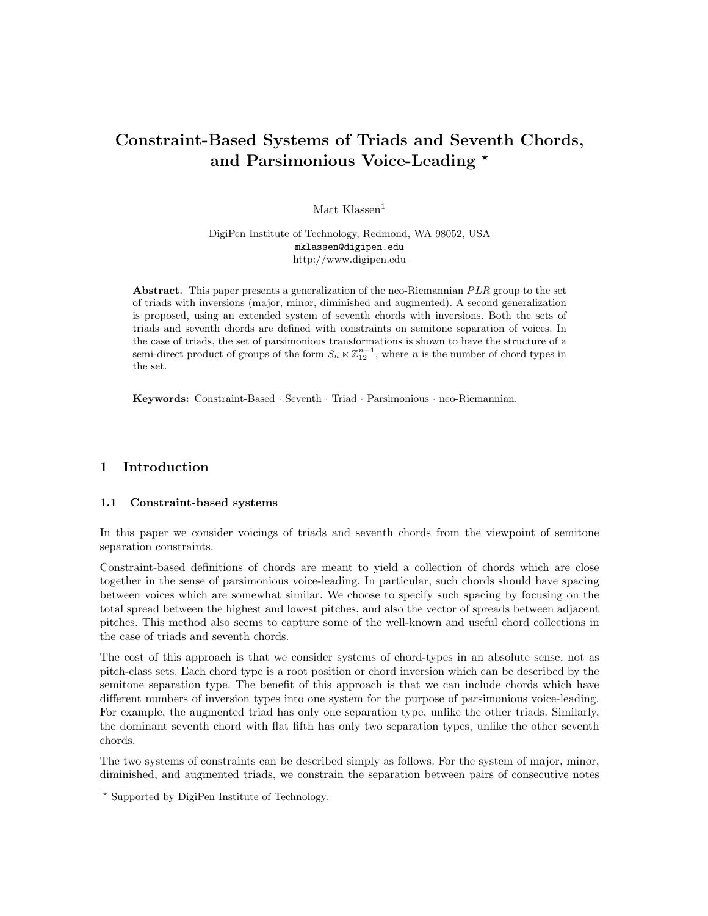# Constraint-Based Systems of Triads and Seventh Chords, and Parsimonious Voice-Leading \*

Matt Klassen $<sup>1</sup>$ </sup>

DigiPen Institute of Technology, Redmond, WA 98052, USA mklassen@digipen.edu http://www.digipen.edu

Abstract. This paper presents a generalization of the neo-Riemannian  $PLR$  group to the set of triads with inversions (major, minor, diminished and augmented). A second generalization is proposed, using an extended system of seventh chords with inversions. Both the sets of triads and seventh chords are defined with constraints on semitone separation of voices. In the case of triads, the set of parsimonious transformations is shown to have the structure of a semi-direct product of groups of the form  $S_n \ltimes \mathbb{Z}_{12}^{n-1}$ , where n is the number of chord types in the set.

 ${\bf Key words:} \ \textrm{Constant-Based}\ \cdot \textrm{Several}\ \cdot \textrm{Train} \cdot \textrm{Maximum} \cdot \textrm{Theorem 1.1:}$ 

# 1 Introduction

### 1.1 Constraint-based systems

In this paper we consider voicings of triads and seventh chords from the viewpoint of semitone separation constraints.

Constraint-based definitions of chords are meant to yield a collection of chords which are close together in the sense of parsimonious voice-leading. In particular, such chords should have spacing between voices which are somewhat similar. We choose to specify such spacing by focusing on the total spread between the highest and lowest pitches, and also the vector of spreads between adjacent pitches. This method also seems to capture some of the well-known and useful chord collections in the case of triads and seventh chords.

The cost of this approach is that we consider systems of chord-types in an absolute sense, not as pitch-class sets. Each chord type is a root position or chord inversion which can be described by the semitone separation type. The benefit of this approach is that we can include chords which have different numbers of inversion types into one system for the purpose of parsimonious voice-leading. For example, the augmented triad has only one separation type, unlike the other triads. Similarly, the dominant seventh chord with flat fifth has only two separation types, unlike the other seventh chords.

The two systems of constraints can be described simply as follows. For the system of major, minor, diminished, and augmented triads, we constrain the separation between pairs of consecutive notes

<sup>?</sup> Supported by DigiPen Institute of Technology.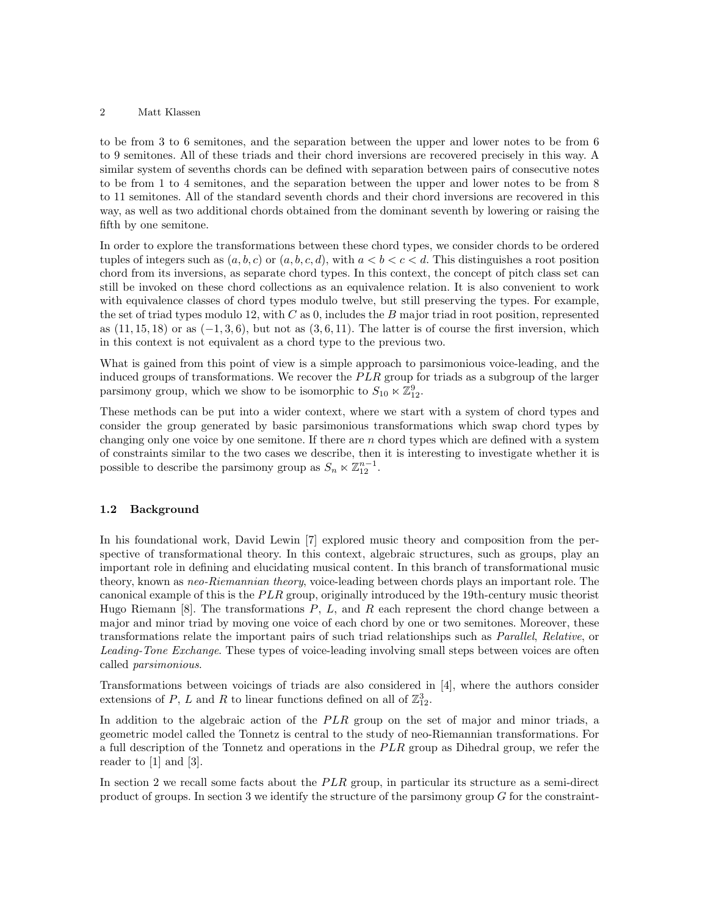to be from 3 to 6 semitones, and the separation between the upper and lower notes to be from 6 to 9 semitones. All of these triads and their chord inversions are recovered precisely in this way. A similar system of sevenths chords can be defined with separation between pairs of consecutive notes to be from 1 to 4 semitones, and the separation between the upper and lower notes to be from 8 to 11 semitones. All of the standard seventh chords and their chord inversions are recovered in this way, as well as two additional chords obtained from the dominant seventh by lowering or raising the fifth by one semitone.

In order to explore the transformations between these chord types, we consider chords to be ordered tuples of integers such as  $(a, b, c)$  or  $(a, b, c, d)$ , with  $a < b < c < d$ . This distinguishes a root position chord from its inversions, as separate chord types. In this context, the concept of pitch class set can still be invoked on these chord collections as an equivalence relation. It is also convenient to work with equivalence classes of chord types modulo twelve, but still preserving the types. For example, the set of triad types modulo 12, with  $C$  as 0, includes the  $B$  major triad in root position, represented as  $(11, 15, 18)$  or as  $(-1, 3, 6)$ , but not as  $(3, 6, 11)$ . The latter is of course the first inversion, which in this context is not equivalent as a chord type to the previous two.

What is gained from this point of view is a simple approach to parsimonious voice-leading, and the induced groups of transformations. We recover the  $PLR$  group for triads as a subgroup of the larger parsimony group, which we show to be isomorphic to  $S_{10} \ltimes \mathbb{Z}_{12}^9$ .

These methods can be put into a wider context, where we start with a system of chord types and consider the group generated by basic parsimonious transformations which swap chord types by changing only one voice by one semitone. If there are n chord types which are defined with a system of constraints similar to the two cases we describe, then it is interesting to investigate whether it is possible to describe the parsimony group as  $S_n \ltimes \mathbb{Z}_{12}^{n-1}$ .

## 1.2 Background

In his foundational work, David Lewin [7] explored music theory and composition from the perspective of transformational theory. In this context, algebraic structures, such as groups, play an important role in defining and elucidating musical content. In this branch of transformational music theory, known as neo-Riemannian theory, voice-leading between chords plays an important role. The canonical example of this is the  $PLR$  group, originally introduced by the 19th-century music theorist Hugo Riemann  $[8]$ . The transformations  $P$ ,  $L$ , and  $R$  each represent the chord change between a major and minor triad by moving one voice of each chord by one or two semitones. Moreover, these transformations relate the important pairs of such triad relationships such as Parallel, Relative, or Leading-Tone Exchange. These types of voice-leading involving small steps between voices are often called parsimonious.

Transformations between voicings of triads are also considered in [4], where the authors consider extensions of P, L and R to linear functions defined on all of  $\mathbb{Z}_{12}^3$ .

In addition to the algebraic action of the  $PLR$  group on the set of major and minor triads, a geometric model called the Tonnetz is central to the study of neo-Riemannian transformations. For a full description of the Tonnetz and operations in the PLR group as Dihedral group, we refer the reader to [1] and [3].

In section 2 we recall some facts about the  $PLR$  group, in particular its structure as a semi-direct product of groups. In section 3 we identify the structure of the parsimony group G for the constraint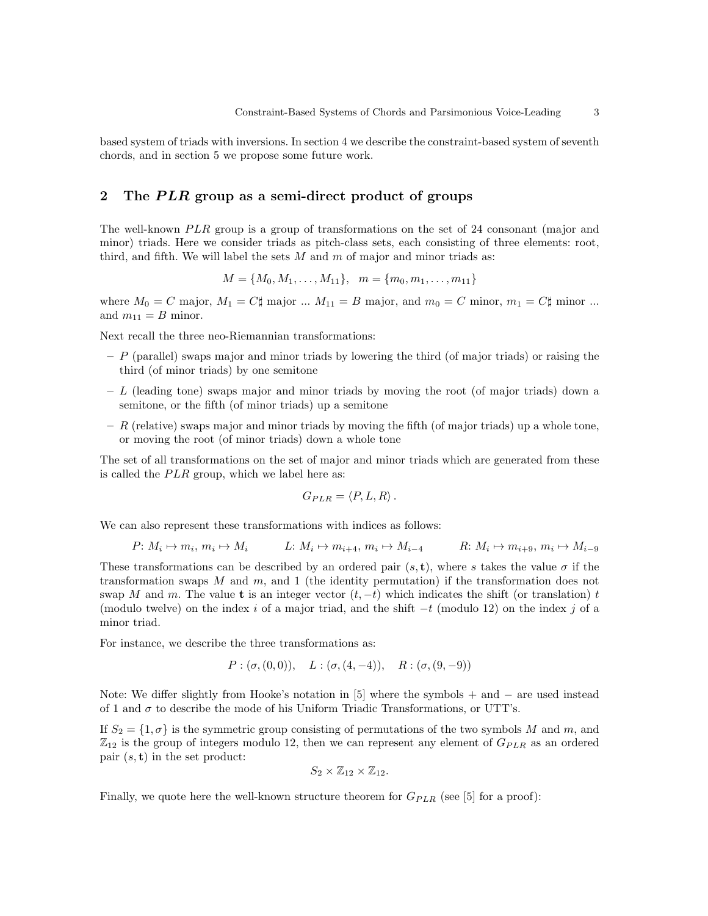based system of triads with inversions. In section 4 we describe the constraint-based system of seventh chords, and in section 5 we propose some future work.

## 2 The PLR group as a semi-direct product of groups

The well-known  $PLR$  group is a group of transformations on the set of 24 consonant (major and minor) triads. Here we consider triads as pitch-class sets, each consisting of three elements: root, third, and fifth. We will label the sets  $M$  and  $m$  of major and minor triads as:

$$
M = \{M_0, M_1, \dots, M_{11}\}, \quad m = \{m_0, m_1, \dots, m_{11}\}\
$$

where  $M_0 = C$  major,  $M_1 = C$ # major ...  $M_{11} = B$  major, and  $m_0 = C$  minor,  $m_1 = C$ # minor ... and  $m_{11} = B$  minor.

Next recall the three neo-Riemannian transformations:

- $P$  (parallel) swaps major and minor triads by lowering the third (of major triads) or raising the third (of minor triads) by one semitone
- $L$  (leading tone) swaps major and minor triads by moving the root (of major triads) down a semitone, or the fifth (of minor triads) up a semitone
- $R$  (relative) swaps major and minor triads by moving the fifth (of major triads) up a whole tone, or moving the root (of minor triads) down a whole tone

The set of all transformations on the set of major and minor triads which are generated from these is called the  $PLR$  group, which we label here as:

$$
G_{PLR} = \langle P, L, R \rangle.
$$

We can also represent these transformations with indices as follows:

$$
P: M_i \mapsto m_i, m_i \mapsto M_i \qquad L: M_i \mapsto m_{i+4}, m_i \mapsto M_{i-4} \qquad R: M_i \mapsto m_{i+9}, m_i \mapsto M_{i-9}
$$

These transformations can be described by an ordered pair  $(s, t)$ , where s takes the value  $\sigma$  if the transformation swaps  $M$  and  $m$ , and 1 (the identity permutation) if the transformation does not swap M and m. The value t is an integer vector  $(t, -t)$  which indicates the shift (or translation) t (modulo twelve) on the index i of a major triad, and the shift  $-t$  (modulo 12) on the index j of a minor triad.

For instance, we describe the three transformations as:

$$
P:(\sigma,(0,0)), L:(\sigma,(4,-4)), R:(\sigma,(9,-9))
$$

Note: We differ slightly from Hooke's notation in [5] where the symbols + and − are used instead of 1 and  $\sigma$  to describe the mode of his Uniform Triadic Transformations, or UTT's.

If  $S_2 = \{1, \sigma\}$  is the symmetric group consisting of permutations of the two symbols M and m, and  $\mathbb{Z}_{12}$  is the group of integers modulo 12, then we can represent any element of  $G_{PLR}$  as an ordered pair  $(s, t)$  in the set product:

$$
S_2 \times \mathbb{Z}_{12} \times \mathbb{Z}_{12}.
$$

Finally, we quote here the well-known structure theorem for  $G_{PLR}$  (see [5] for a proof):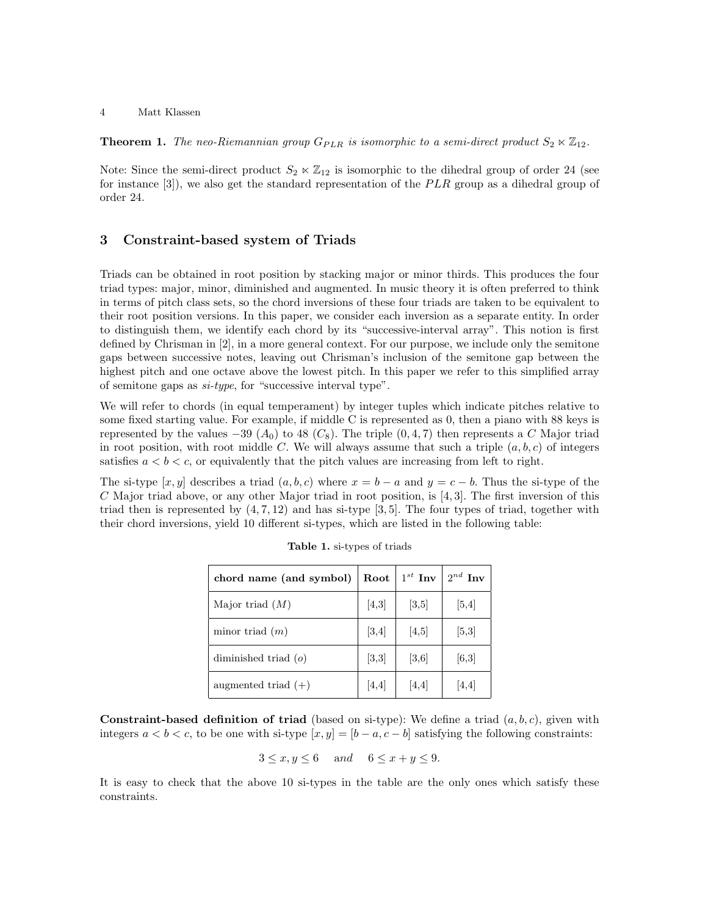**Theorem 1.** The neo-Riemannian group  $G_{PLR}$  is isomorphic to a semi-direct product  $S_2 \ltimes \mathbb{Z}_{12}$ .

Note: Since the semi-direct product  $S_2 \ltimes \mathbb{Z}_{12}$  is isomorphic to the dihedral group of order 24 (see for instance [3]), we also get the standard representation of the  $PLR$  group as a dihedral group of order 24.

## 3 Constraint-based system of Triads

Triads can be obtained in root position by stacking major or minor thirds. This produces the four triad types: major, minor, diminished and augmented. In music theory it is often preferred to think in terms of pitch class sets, so the chord inversions of these four triads are taken to be equivalent to their root position versions. In this paper, we consider each inversion as a separate entity. In order to distinguish them, we identify each chord by its "successive-interval array". This notion is first defined by Chrisman in [2], in a more general context. For our purpose, we include only the semitone gaps between successive notes, leaving out Chrisman's inclusion of the semitone gap between the highest pitch and one octave above the lowest pitch. In this paper we refer to this simplified array of semitone gaps as si-type, for "successive interval type".

We will refer to chords (in equal temperament) by integer tuples which indicate pitches relative to some fixed starting value. For example, if middle C is represented as 0, then a piano with 88 keys is represented by the values  $-39$  ( $A_0$ ) to 48 ( $C_8$ ). The triple (0, 4, 7) then represents a C Major triad in root position, with root middle C. We will always assume that such a triple  $(a, b, c)$  of integers satisfies  $a < b < c$ , or equivalently that the pitch values are increasing from left to right.

The si-type  $[x, y]$  describes a triad  $(a, b, c)$  where  $x = b - a$  and  $y = c - b$ . Thus the si-type of the  $C$  Major triad above, or any other Major triad in root position, is [4, 3]. The first inversion of this triad then is represented by  $(4, 7, 12)$  and has si-type [3, 5]. The four types of triad, together with their chord inversions, yield 10 different si-types, which are listed in the following table:

| chord name (and symbol) | Root  | $1^{st}$ Inv | $2^{nd}$ Inv |
|-------------------------|-------|--------------|--------------|
| Major triad $(M)$       | [4,3] | [3,5]        | [5,4]        |
| minor triad $(m)$       | [3,4] | [4,5]        | [5,3]        |
| diminished triad $(o)$  | [3,3] | [3,6]        | [6,3]        |
| augmented triad $(+)$   | [4,4] | [4,4]        | 4,4          |

**Constraint-based definition of triad** (based on si-type): We define a triad  $(a, b, c)$ , given with integers  $a < b < c$ , to be one with si-type  $[x, y] = [b - a, c - b]$  satisfying the following constraints:

$$
3 \le x, y \le 6 \quad and \quad 6 \le x + y \le 9.
$$

It is easy to check that the above 10 si-types in the table are the only ones which satisfy these constraints.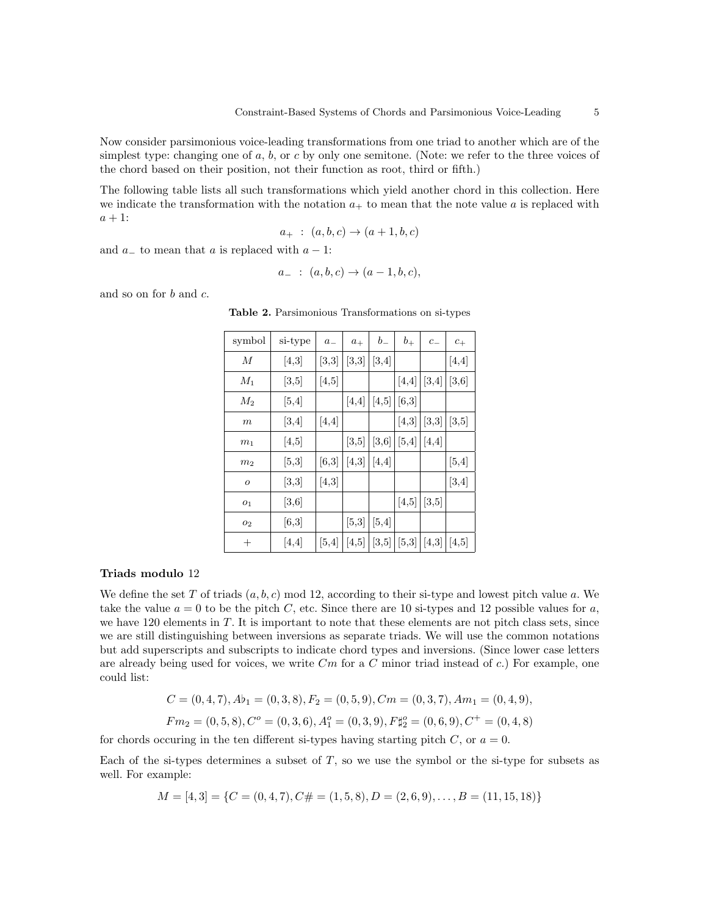Now consider parsimonious voice-leading transformations from one triad to another which are of the simplest type: changing one of a, b, or c by only one semitone. (Note: we refer to the three voices of the chord based on their position, not their function as root, third or fifth.)

The following table lists all such transformations which yield another chord in this collection. Here we indicate the transformation with the notation  $a_+$  to mean that the note value a is replaced with  $a + 1$ :

$$
a_{+} \; : \; (a,b,c) \to (a+1,b,c)
$$

and  $a_$  to mean that a is replaced with  $a - 1$ :

$$
a_- \; : \; (a,b,c) \to (a-1,b,c),
$$

and so on for b and c.

| symbol           | si-type | $\boldsymbol{a}_{-}$ | $\boldsymbol{a}_+$ | $b_{-}$ | $b_\mathrm{+}$ | $c_{-}$ | $c_{+}$                 |
|------------------|---------|----------------------|--------------------|---------|----------------|---------|-------------------------|
| М                | [4,3]   | [3,3]                | [3,3]              | [3,4]   |                |         | [4,4]                   |
| $M_1$            | [3,5]   | [4,5]                |                    |         | [4,4]          | [3, 4]  | [3,6]                   |
| $M_2$            | [5, 4]  |                      | $[4,4]$            | [4,5]   | [6,3]          |         |                         |
| $_{m}$           | [3,4]   | [4,4]                |                    |         | [4,3]          | [3,3]   | [3,5]                   |
| m <sub>1</sub>   | [4, 5]  |                      | [3,5]              | [3,6]   | [5,4]          | [4,4]   |                         |
| m <sub>2</sub>   | [5,3]   | [6,3]                | [4,3]              | [4,4]   |                |         | [5, 4]                  |
| $\boldsymbol{o}$ | [3,3]   | [4,3]                |                    |         |                |         | $[3,4]$                 |
| O <sub>1</sub>   | [3,6]   |                      |                    |         | [4,5]          | [3,5]   |                         |
| 02               | [6,3]   |                      | [5,3]              | $[5,4]$ |                |         |                         |
| $^{+}$           | [4,4]   | [5,4]                | [4,5]              | [3,5]   | [5,3]          | [4,3]   | $\vert \vert 4,5 \vert$ |

Table 2. Parsimonious Transformations on si-types

#### Triads modulo 12

We define the set T of triads  $(a, b, c)$  mod 12, according to their si-type and lowest pitch value a. We take the value  $a = 0$  to be the pitch C, etc. Since there are 10 si-types and 12 possible values for a, we have 120 elements in  $T$ . It is important to note that these elements are not pitch class sets, since we are still distinguishing between inversions as separate triads. We will use the common notations but add superscripts and subscripts to indicate chord types and inversions. (Since lower case letters are already being used for voices, we write  $Cm$  for a  $C$  minor triad instead of  $c$ .) For example, one could list:

$$
C = (0, 4, 7), Ab_1 = (0, 3, 8), F_2 = (0, 5, 9), Cm = (0, 3, 7), Am_1 = (0, 4, 9),
$$
  

$$
Fm_2 = (0, 5, 8), C^o = (0, 3, 6), A_1^o = (0, 3, 9), F_{42}^o = (0, 6, 9), C^+ = (0, 4, 8)
$$

for chords occuring in the ten different si-types having starting pitch C, or  $a = 0$ .

Each of the si-types determines a subset of  $T$ , so we use the symbol or the si-type for subsets as well. For example:

 $M = [4, 3] = \{C = (0, 4, 7), C\# = (1, 5, 8), D = (2, 6, 9), \dots, B = (11, 15, 18)\}\$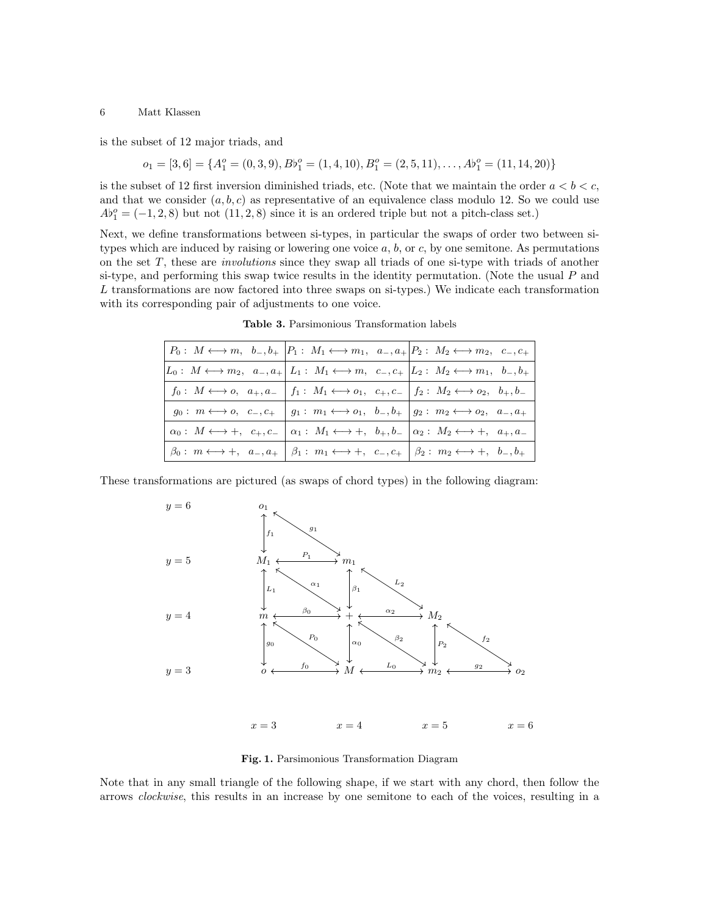is the subset of 12 major triads, and

$$
o_1 = [3, 6] = \{A_1^o = (0, 3, 9), B\}_{1}^{o} = (1, 4, 10), B_1^o = (2, 5, 11), \dots, A\}_{1}^{o} = (11, 14, 20)\}
$$

is the subset of 12 first inversion diminished triads, etc. (Note that we maintain the order  $a < b < c$ , and that we consider  $(a, b, c)$  as representative of an equivalence class modulo 12. So we could use  $Ab_1^o = (-1, 2, 8)$  but not  $(11, 2, 8)$  since it is an ordered triple but not a pitch-class set.)

Next, we define transformations between si-types, in particular the swaps of order two between sitypes which are induced by raising or lowering one voice  $a, b,$  or  $c,$  by one semitone. As permutations on the set  $T$ , these are *involutions* since they swap all triads of one si-type with triads of another si-type, and performing this swap twice results in the identity permutation. (Note the usual  $P$  and L transformations are now factored into three swaps on si-types.) We indicate each transformation with its corresponding pair of adjustments to one voice.

|                                               |                                                                                                                                 | $\mid P_0: M \longleftrightarrow m, b_-, b_+ \mid P_1: M_1 \longleftrightarrow m_1, a_-, a_+ \mid P_2: M_2 \longleftrightarrow m_2, c_-, c_+ \mid$                |
|-----------------------------------------------|---------------------------------------------------------------------------------------------------------------------------------|-------------------------------------------------------------------------------------------------------------------------------------------------------------------|
|                                               |                                                                                                                                 | $\begin{array}{ccc}  L_0: M \longleftrightarrow m_2, a_-, a_+  L_1: M_1 \longleftrightarrow m, c_-, c_+  L_2: M_2 \longleftrightarrow m_1, b_-, b_+  \end{array}$ |
|                                               |                                                                                                                                 | $f_0: M \longleftrightarrow o, a_+, a_-   f_1: M_1 \longleftrightarrow o_1, c_+, c_-   f_2: M_2 \longleftrightarrow o_2, b_+, b_-$                                |
|                                               |                                                                                                                                 | $g_0: m \longleftrightarrow o, c_-, c_+ \mid g_1: m_1 \longleftrightarrow o_1, b_-, b_+ \mid g_2: m_2 \longleftrightarrow o_2, a_-, a_+$                          |
| $\alpha_0: M \longleftrightarrow +, c_+, c_-$ | $\begin{array}{ l }\n\alpha_1: M_1 \longleftrightarrow +, b_+, b_- \alpha_2: M_2 \longleftrightarrow +, a_+, a_- \n\end{array}$ |                                                                                                                                                                   |
|                                               |                                                                                                                                 |                                                                                                                                                                   |

Table 3. Parsimonious Transformation labels

These transformations are pictured (as swaps of chord types) in the following diagram:



Fig. 1. Parsimonious Transformation Diagram

Note that in any small triangle of the following shape, if we start with any chord, then follow the arrows clockwise, this results in an increase by one semitone to each of the voices, resulting in a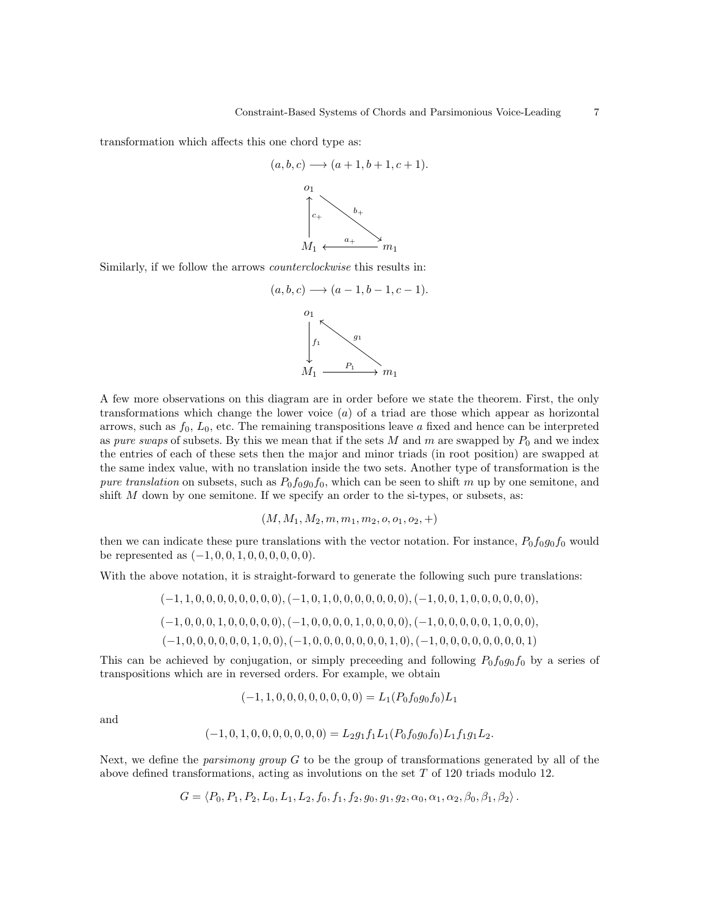transformation which affects this one chord type as:

$$
(a, b, c) \longrightarrow (a + 1, b + 1, c + 1).
$$
  

$$
\downarrow
$$
  

$$
\downarrow
$$
  

$$
\downarrow
$$
  

$$
\downarrow
$$
  

$$
\downarrow
$$
  

$$
\downarrow
$$
  

$$
\downarrow
$$
  

$$
\downarrow
$$
  

$$
\downarrow
$$
  

$$
\downarrow
$$
  

$$
\downarrow
$$
  

$$
\downarrow
$$
  

$$
\downarrow
$$
  

$$
\downarrow
$$
  

$$
\downarrow
$$
  

$$
\downarrow
$$
  

$$
\downarrow
$$
  

$$
\downarrow
$$
  

$$
\downarrow
$$
  

$$
\downarrow
$$
  

$$
\downarrow
$$
  

$$
\downarrow
$$
  

$$
\downarrow
$$
  

$$
\downarrow
$$
  

$$
\downarrow
$$
  

$$
\downarrow
$$
  

$$
\downarrow
$$
  

$$
\downarrow
$$
  

$$
\downarrow
$$
  

$$
\downarrow
$$
  

$$
\downarrow
$$
  

$$
\downarrow
$$
  

$$
\downarrow
$$
  

$$
\downarrow
$$
  

$$
\downarrow
$$
  

$$
\downarrow
$$
  

$$
\downarrow
$$
  

$$
\downarrow
$$
  

$$
\downarrow
$$
  

$$
\downarrow
$$
  

$$
\downarrow
$$
  

$$
\downarrow
$$
  

$$
\downarrow
$$
  

$$
\downarrow
$$
  

$$
\downarrow
$$
  

$$
\downarrow
$$
  

$$
\downarrow
$$
  

$$
\downarrow
$$
  

$$
\downarrow
$$
  

$$
\downarrow
$$
  

$$
\downarrow
$$
  

$$
\downarrow
$$
  

$$
\downarrow
$$
  

$$
\downarrow
$$
  

$$
\downarrow
$$
  

$$
\downarrow
$$
  

$$
\downarrow
$$
  

$$
\downarrow
$$
  

$$
\downarrow
$$
  

$$
\downarrow
$$
  

$$
\downarrow
$$

Similarly, if we follow the arrows counterclockwise this results in:



A few more observations on this diagram are in order before we state the theorem. First, the only transformations which change the lower voice  $(a)$  of a triad are those which appear as horizontal arrows, such as  $f_0$ ,  $L_0$ , etc. The remaining transpositions leave a fixed and hence can be interpreted as pure swaps of subsets. By this we mean that if the sets M and m are swapped by  $P_0$  and we index the entries of each of these sets then the major and minor triads (in root position) are swapped at the same index value, with no translation inside the two sets. Another type of transformation is the pure translation on subsets, such as  $P_0f_0g_0f_0$ , which can be seen to shift m up by one semitone, and shift  $M$  down by one semitone. If we specify an order to the si-types, or subsets, as:

$$
(M, M_1, M_2, m, m_1, m_2, o, o_1, o_2, +)
$$

then we can indicate these pure translations with the vector notation. For instance,  $P_0f_0g_0f_0$  would be represented as  $(-1, 0, 0, 1, 0, 0, 0, 0, 0, 0)$ .

With the above notation, it is straight-forward to generate the following such pure translations:

$$
(-1, 1, 0, 0, 0, 0, 0, 0, 0), (-1, 0, 1, 0, 0, 0, 0, 0, 0), (-1, 0, 0, 1, 0, 0, 0, 0, 0, 0),
$$
  

$$
(-1, 0, 0, 0, 1, 0, 0, 0, 0), (-1, 0, 0, 0, 0, 1, 0, 0, 0, 0), (-1, 0, 0, 0, 0, 0, 1, 0, 0, 0),
$$
  

$$
(-1, 0, 0, 0, 0, 0, 0, 1, 0, 0), (-1, 0, 0, 0, 0, 0, 0, 1, 0), (-1, 0, 0, 0, 0, 0, 0, 0, 0, 1)
$$

This can be achieved by conjugation, or simply preceeding and following  $P_0f_0g_0f_0$  by a series of transpositions which are in reversed orders. For example, we obtain

$$
(-1, 1, 0, 0, 0, 0, 0, 0, 0, 0) = L_1(P_0 f_0 g_0 f_0) L_1
$$

and

$$
(-1,0,1,0,0,0,0,0,0,0) = L_2g_1f_1L_1(P_0f_0g_0f_0)L_1f_1g_1L_2.
$$

Next, we define the *parsimony group*  $G$  to be the group of transformations generated by all of the above defined transformations, acting as involutions on the set T of 120 triads modulo 12.

$$
G = \langle P_0, P_1, P_2, L_0, L_1, L_2, f_0, f_1, f_2, g_0, g_1, g_2, \alpha_0, \alpha_1, \alpha_2, \beta_0, \beta_1, \beta_2 \rangle.
$$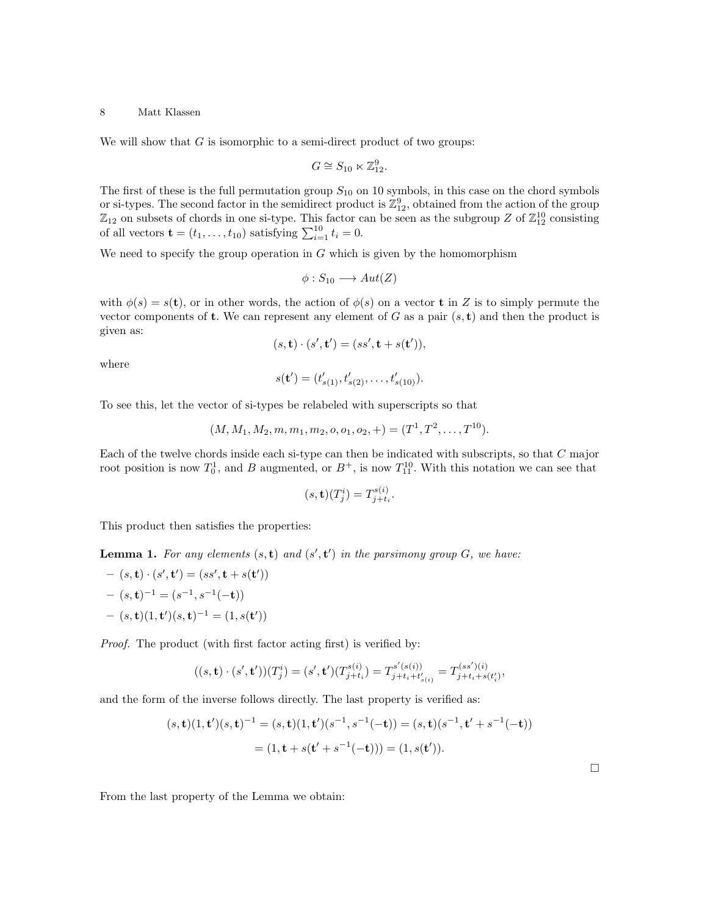We will show that  $G$  is isomorphic to a semi-direct product of two groups:

$$
G \cong S_{10} \ltimes \mathbb{Z}_{12}^9.
$$

The first of these is the full permutation group  $S_{10}$  on 10 symbols, in this case on the chord symbols or si-types. The second factor in the semidirect product is  $\mathbb{Z}_{12}^9$ , obtained from the action of the group  $\mathbb{Z}_{12}$  on subsets of chords in one si-type. This factor can be seen as the subgroup Z of  $\mathbb{Z}_{12}^{10}$  consisting of all vectors  $\mathbf{t} = (t_1, \dots, t_{10})$  satisfying  $\sum_{i=1}^{10} t_i = 0$ .

We need to specify the group operation in  $G$  which is given by the homomorphism

$$
\phi: S_{10} \longrightarrow Aut(Z)
$$

with  $\phi(s) = s(t)$ , or in other words, the action of  $\phi(s)$  on a vector **t** in Z is to simply permute the vector components of **t**. We can represent any element of G as a pair  $(s, t)$  and then the product is given as:

$$
(s, \mathbf{t}) \cdot (s', \mathbf{t}') = (ss', \mathbf{t} + s(\mathbf{t}')),
$$

where

$$
s(\mathbf{t}') = (t'_{s(1)}, t'_{s(2)}, \dots, t'_{s(10)}).
$$

To see this, let the vector of si-types be relabeled with superscripts so that

$$
(M, M_1, M_2, m, m_1, m_2, o, o_1, o_2, +) = (T^1, T^2, \dots, T^{10}).
$$

1

 $\Box$ 

Each of the twelve chords inside each si-type can then be indicated with subscripts, so that C major root position is now  $T_0^1$ , and B augmented, or  $B^+$ , is now  $T_{11}^{10}$ . With this notation we can see that

$$
(s, \mathbf{t})(T_j^i) = T_{j+t_i}^{s(i)}.
$$

This product then satisfies the properties:

**Lemma 1.** For any elements  $(s, t)$  and  $(s', t')$  in the parsimony group G, we have:

$$
- (s, \mathbf{t}) \cdot (s', \mathbf{t'}) = (ss', \mathbf{t} + s(\mathbf{t'}))
$$

$$
- (s, \mathbf{t})^{-1} = (s^{-1}, s^{-1}(-\mathbf{t}))
$$

$$
- (s, \mathbf{t}) (1, \mathbf{t'})(s, \mathbf{t})^{-1} = (1, s(\mathbf{t'}))
$$

Proof. The product (with first factor acting first) is verified by:

$$
((s,\mathbf{t})\cdot (s',\mathbf{t}'))(T_j^i) = (s',\mathbf{t}')(T_{j+t_i}^{s(i)}) = T_{j+t_i+t'_{s(i)}}^{s'(s(i))} = T_{j+t_i+s(t_i')}^{(ss')(i)},
$$

and the form of the inverse follows directly. The last property is verified as:

$$
(s, \mathbf{t})(1, \mathbf{t}')(s, \mathbf{t})^{-1} = (s, \mathbf{t})(1, \mathbf{t}')(s^{-1}, s^{-1}(-\mathbf{t})) = (s, \mathbf{t})(s^{-1}, \mathbf{t}' + s^{-1}(-\mathbf{t}))
$$

$$
= (1, \mathbf{t} + s(\mathbf{t}' + s^{-1}(-\mathbf{t}))) = (1, s(\mathbf{t}')).
$$

From the last property of the Lemma we obtain: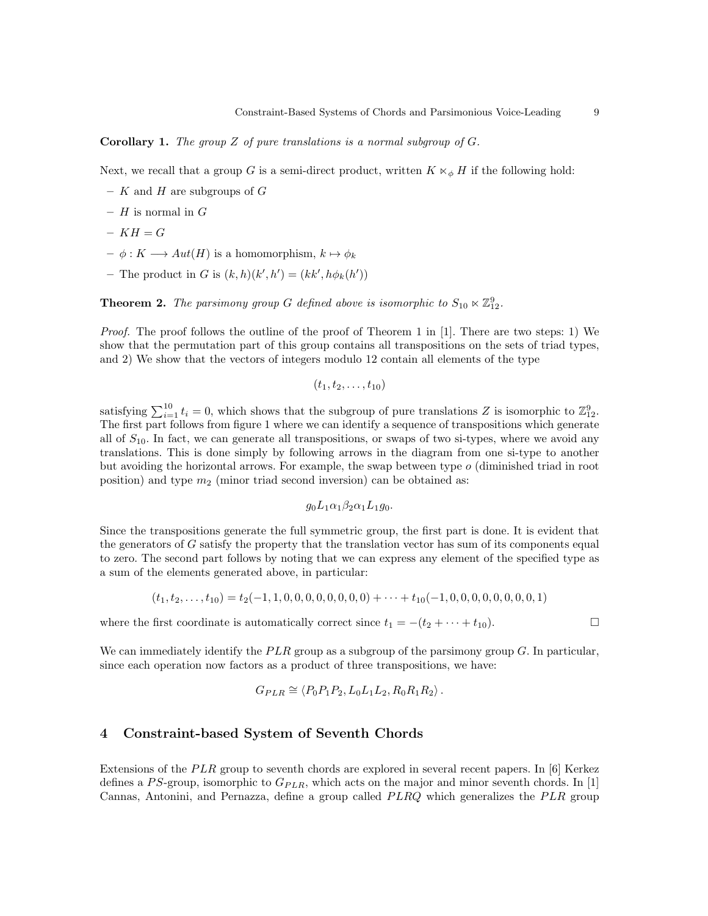**Corollary 1.** The group Z of pure translations is a normal subgroup of  $G$ .

Next, we recall that a group G is a semi-direct product, written  $K \ltimes_{\phi} H$  if the following hold:

- $K$  and  $H$  are subgroups of  $G$
- $H$  is normal in  $G$
- $KH = G$
- $\phi : K \longrightarrow Aut(H)$  is a homomorphism,  $k \mapsto \phi_k$
- The product in G is  $(k, h)(k', h') = (kk', h\phi_k(h'))$

**Theorem 2.** The parsimony group G defined above is isomorphic to  $S_{10} \ltimes \mathbb{Z}_{12}^9$ .

*Proof.* The proof follows the outline of the proof of Theorem 1 in [1]. There are two steps: 1) We show that the permutation part of this group contains all transpositions on the sets of triad types, and 2) We show that the vectors of integers modulo 12 contain all elements of the type

 $(t_1, t_2, \ldots, t_{10})$ 

satisfying  $\sum_{i=1}^{10} t_i = 0$ , which shows that the subgroup of pure translations Z is isomorphic to  $\mathbb{Z}_{12}^9$ . The first part follows from figure 1 where we can identify a sequence of transpositions which generate all of  $S_{10}$ . In fact, we can generate all transpositions, or swaps of two si-types, where we avoid any translations. This is done simply by following arrows in the diagram from one si-type to another but avoiding the horizontal arrows. For example, the swap between type  $o$  (diminished triad in root position) and type  $m_2$  (minor triad second inversion) can be obtained as:

$$
g_0L_1\alpha_1\beta_2\alpha_1L_1g_0.
$$

Since the transpositions generate the full symmetric group, the first part is done. It is evident that the generators of G satisfy the property that the translation vector has sum of its components equal to zero. The second part follows by noting that we can express any element of the specified type as a sum of the elements generated above, in particular:

$$
(t_1, t_2, \ldots, t_{10}) = t_2(-1, 1, 0, 0, 0, 0, 0, 0, 0, 0) + \cdots + t_{10}(-1, 0, 0, 0, 0, 0, 0, 0, 0, 1)
$$

where the first coordinate is automatically correct since  $t_1 = -(t_2 + \cdots + t_{10})$ .

We can immediately identify the  $PLR$  group as a subgroup of the parsimony group G. In particular, since each operation now factors as a product of three transpositions, we have:

$$
G_{PLR} \cong \langle P_0 P_1 P_2, L_0 L_1 L_2, R_0 R_1 R_2 \rangle.
$$

## 4 Constraint-based System of Seventh Chords

Extensions of the  $PLR$  group to seventh chords are explored in several recent papers. In [6] Kerkez defines a PS-group, isomorphic to  $G_{PLR}$ , which acts on the major and minor seventh chords. In [1] Cannas, Antonini, and Pernazza, define a group called  $PLRQ$  which generalizes the  $PLR$  group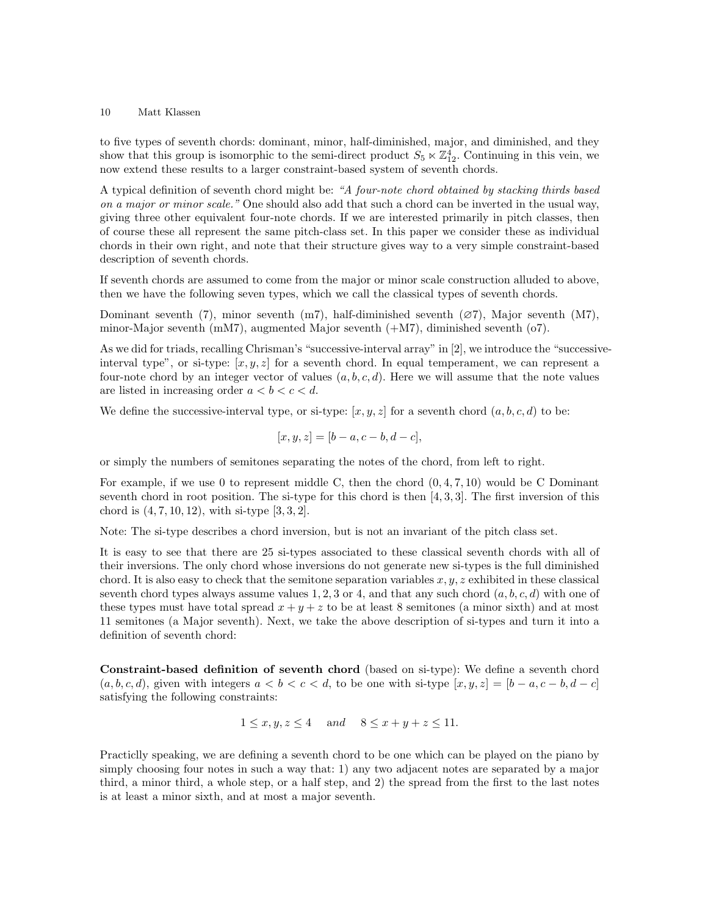to five types of seventh chords: dominant, minor, half-diminished, major, and diminished, and they show that this group is isomorphic to the semi-direct product  $S_5 \ltimes \mathbb{Z}_{12}^4$ . Continuing in this vein, we now extend these results to a larger constraint-based system of seventh chords.

A typical definition of seventh chord might be: "A four-note chord obtained by stacking thirds based on a major or minor scale." One should also add that such a chord can be inverted in the usual way, giving three other equivalent four-note chords. If we are interested primarily in pitch classes, then of course these all represent the same pitch-class set. In this paper we consider these as individual chords in their own right, and note that their structure gives way to a very simple constraint-based description of seventh chords.

If seventh chords are assumed to come from the major or minor scale construction alluded to above, then we have the following seven types, which we call the classical types of seventh chords.

Dominant seventh (7), minor seventh (m7), half-diminished seventh (∅7), Major seventh (M7), minor-Major seventh (mM7), augmented Major seventh  $(+M7)$ , diminished seventh  $(07)$ .

As we did for triads, recalling Chrisman's "successive-interval array" in [2], we introduce the "successiveinterval type", or si-type:  $[x, y, z]$  for a seventh chord. In equal temperament, we can represent a four-note chord by an integer vector of values  $(a, b, c, d)$ . Here we will assume that the note values are listed in increasing order  $a < b < c < d$ .

We define the successive-interval type, or si-type:  $[x, y, z]$  for a seventh chord  $(a, b, c, d)$  to be:

$$
[x, y, z] = [b - a, c - b, d - c],
$$

or simply the numbers of semitones separating the notes of the chord, from left to right.

For example, if we use 0 to represent middle C, then the chord  $(0, 4, 7, 10)$  would be C Dominant seventh chord in root position. The si-type for this chord is then  $[4, 3, 3]$ . The first inversion of this chord is  $(4, 7, 10, 12)$ , with si-type  $[3, 3, 2]$ .

Note: The si-type describes a chord inversion, but is not an invariant of the pitch class set.

It is easy to see that there are 25 si-types associated to these classical seventh chords with all of their inversions. The only chord whose inversions do not generate new si-types is the full diminished chord. It is also easy to check that the semitone separation variables  $x, y, z$  exhibited in these classical seventh chord types always assume values 1, 2, 3 or 4, and that any such chord  $(a, b, c, d)$  with one of these types must have total spread  $x + y + z$  to be at least 8 semitones (a minor sixth) and at most 11 semitones (a Major seventh). Next, we take the above description of si-types and turn it into a definition of seventh chord:

Constraint-based definition of seventh chord (based on si-type): We define a seventh chord  $(a, b, c, d)$ , given with integers  $a < b < c < d$ , to be one with si-type  $[x, y, z] = [b - a, c - b, d - c]$ satisfying the following constraints:

$$
1 \le x, y, z \le 4
$$
 and  $8 \le x + y + z \le 11$ .

Practiclly speaking, we are defining a seventh chord to be one which can be played on the piano by simply choosing four notes in such a way that: 1) any two adjacent notes are separated by a major third, a minor third, a whole step, or a half step, and 2) the spread from the first to the last notes is at least a minor sixth, and at most a major seventh.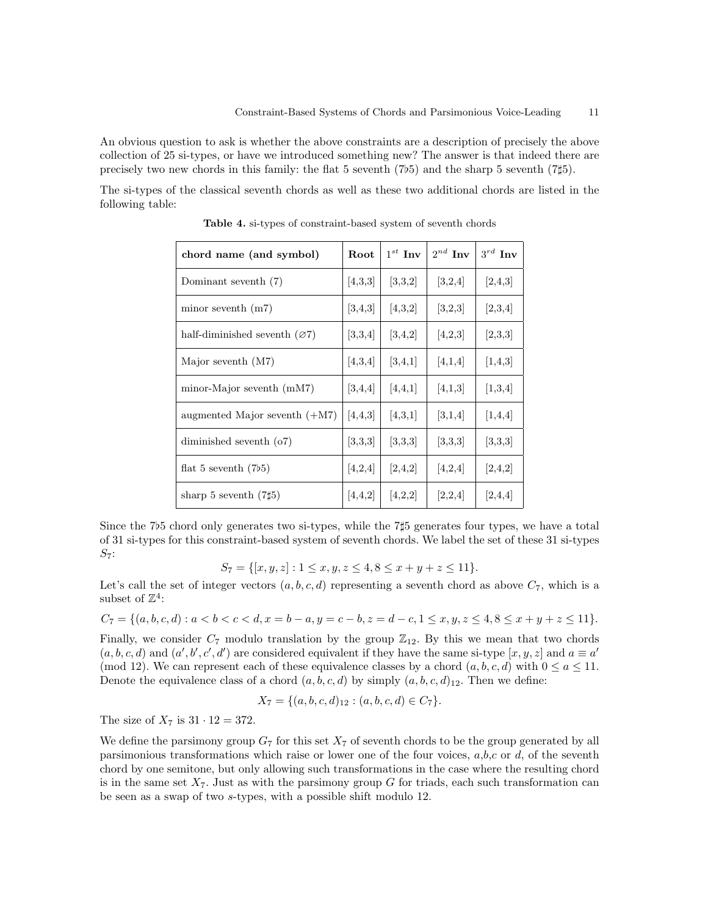An obvious question to ask is whether the above constraints are a description of precisely the above collection of 25 si-types, or have we introduced something new? The answer is that indeed there are precisely two new chords in this family: the flat 5 seventh  $(7b5)$  and the sharp 5 seventh  $(7\sharp 5)$ .

The si-types of the classical seventh chords as well as these two additional chords are listed in the following table:

| chord name (and symbol)         | Root      | $1^{st}$ Inv | $2^{nd}$ Inv | $3^{rd}$ Inv |
|---------------------------------|-----------|--------------|--------------|--------------|
| Dominant seventh (7)            | [4,3,3]   | [3,3,2]      | [3,2,4]      | [2,4,3]      |
| minor seventh $(m7)$            | [3,4,3]   | [4,3,2]      | [3,2,3]      | [2,3,4]      |
| half-diminished seventh $(Ø7)$  | [3,3,4]   | 3,4,2        | [4,2,3]      | [2,3,3]      |
| Major seventh $(M7)$            | [4,3,4]   | 3,4,1        | [4,1,4]      | [1,4,3]      |
| minor-Major seventh $(mM7)$     | [3,4,4]   | 4,4,1        | [4,1,3]      | [1,3,4]      |
| augmented Major seventh $(+M7)$ | [4, 4, 3] | [4,3,1]      | [3,1,4]      | [1,4,4]      |
| diminished seventh $(07)$       | [3,3,3]   | [3,3,3]      | [3,3,3]      | [3,3,3]      |
| flat 5 seventh $(7b5)$          | [4,2,4]   | [2,4,2]      | [4,2,4]      | [2,4,2]      |
| sharp 5 seventh $(7\sharp 5)$   | [4, 4, 2] | [4,2,2]      | [2,2,4]      | [2,4,4]      |

Table 4. si-types of constraint-based system of seventh chords

Since the 7 $5$  chord only generates two si-types, while the 7 $\sharp 5$  generates four types, we have a total of 31 si-types for this constraint-based system of seventh chords. We label the set of these 31 si-types  $S_7$ :

$$
S_7 = \{ [x, y, z] : 1 \le x, y, z \le 4, 8 \le x + y + z \le 11 \}.
$$

Let's call the set of integer vectors  $(a, b, c, d)$  representing a seventh chord as above  $C_7$ , which is a subset of  $\mathbb{Z}^4$ :

$$
C_7 = \{(a, b, c, d) : a < b < c < d, x = b - a, y = c - b, z = d - c, 1 \le x, y, z \le 4, 8 \le x + y + z \le 11\}.
$$

Finally, we consider  $C_7$  modulo translation by the group  $\mathbb{Z}_{12}$ . By this we mean that two chords  $(a, b, c, d)$  and  $(a', b', c', d')$  are considered equivalent if they have the same si-type  $[x, y, z]$  and  $a \equiv a'$ (mod 12). We can represent each of these equivalence classes by a chord  $(a, b, c, d)$  with  $0 \le a \le 11$ . Denote the equivalence class of a chord  $(a, b, c, d)$  by simply  $(a, b, c, d)$ <sub>12</sub>. Then we define:

$$
X_7 = \{(a, b, c, d)_{12} : (a, b, c, d) \in C_7\}.
$$

The size of  $X_7$  is  $31 \cdot 12 = 372$ .

We define the parsimony group  $G_7$  for this set  $X_7$  of seventh chords to be the group generated by all parsimonious transformations which raise or lower one of the four voices,  $a,b,c$  or  $d$ , of the seventh chord by one semitone, but only allowing such transformations in the case where the resulting chord is in the same set  $X_7$ . Just as with the parsimony group G for triads, each such transformation can be seen as a swap of two s-types, with a possible shift modulo 12.